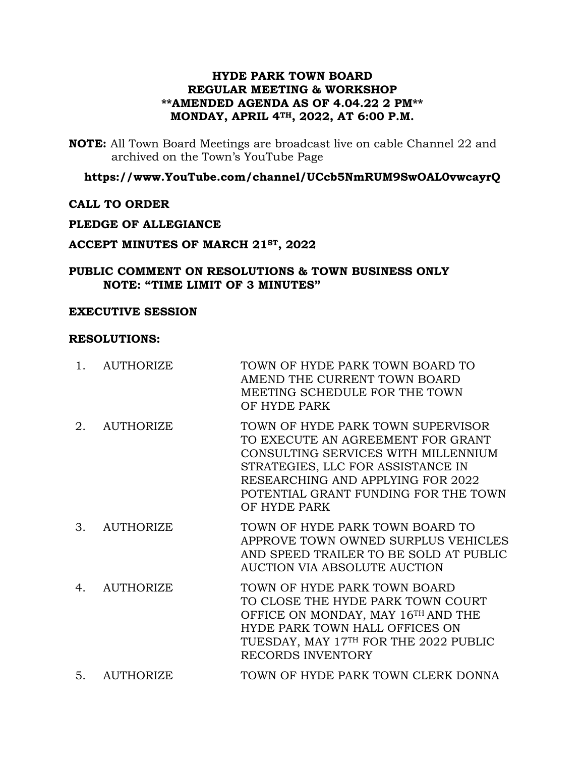## **HYDE PARK TOWN BOARD REGULAR MEETING & WORKSHOP \*\*AMENDED AGENDA AS OF 4.04.22 2 PM\*\* MONDAY, APRIL 4TH, 2022, AT 6:00 P.M.**

**NOTE:** All Town Board Meetings are broadcast live on cable Channel 22 and archived on the Town's YouTube Page

## **https://www.YouTube.com/channel/UCcb5NmRUM9SwOAL0vwcayrQ**

## **CALL TO ORDER**

### **PLEDGE OF ALLEGIANCE**

### **ACCEPT MINUTES OF MARCH 21ST, 2022**

### **PUBLIC COMMENT ON RESOLUTIONS & TOWN BUSINESS ONLY NOTE: "TIME LIMIT OF 3 MINUTES"**

#### **EXECUTIVE SESSION**

#### **RESOLUTIONS:**

- 1. AUTHORIZE TOWN OF HYDE PARK TOWN BOARD TO AMEND THE CURRENT TOWN BOARD MEETING SCHEDULE FOR THE TOWN OF HYDE PARK 2. AUTHORIZE TOWN OF HYDE PARK TOWN SUPERVISOR TO EXECUTE AN AGREEMENT FOR GRANT CONSULTING SERVICES WITH MILLENNIUM STRATEGIES, LLC FOR ASSISTANCE IN RESEARCHING AND APPLYING FOR 2022 POTENTIAL GRANT FUNDING FOR THE TOWN OF HYDE PARK
- 3. AUTHORIZE TOWN OF HYDE PARK TOWN BOARD TO APPROVE TOWN OWNED SURPLUS VEHICLES AND SPEED TRAILER TO BE SOLD AT PUBLIC AUCTION VIA ABSOLUTE AUCTION
- 4. AUTHORIZE TOWN OF HYDE PARK TOWN BOARD TO CLOSE THE HYDE PARK TOWN COURT OFFICE ON MONDAY, MAY 16TH AND THE HYDE PARK TOWN HALL OFFICES ON TUESDAY, MAY 17TH FOR THE 2022 PUBLIC RECORDS INVENTORY
- 5. AUTHORIZE TOWN OF HYDE PARK TOWN CLERK DONNA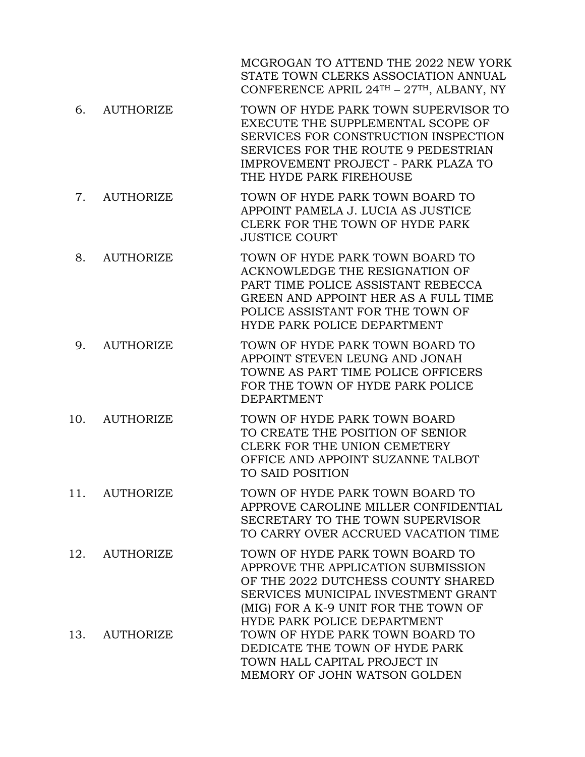MCGROGAN TO ATTEND THE 2022 NEW YORK STATE TOWN CLERKS ASSOCIATION ANNUAL CONFERENCE APRIL 24TH – 27TH, ALBANY, NY

- 6. AUTHORIZE TOWN OF HYDE PARK TOWN SUPERVISOR TO EXECUTE THE SUPPLEMENTAL SCOPE OF SERVICES FOR CONSTRUCTION INSPECTION SERVICES FOR THE ROUTE 9 PEDESTRIAN IMPROVEMENT PROJECT - PARK PLAZA TO THE HYDE PARK FIREHOUSE
- 7. AUTHORIZE TOWN OF HYDE PARK TOWN BOARD TO APPOINT PAMELA J. LUCIA AS JUSTICE CLERK FOR THE TOWN OF HYDE PARK JUSTICE COURT
- 8. AUTHORIZE TOWN OF HYDE PARK TOWN BOARD TO ACKNOWLEDGE THE RESIGNATION OF PART TIME POLICE ASSISTANT REBECCA GREEN AND APPOINT HER AS A FULL TIME POLICE ASSISTANT FOR THE TOWN OF HYDE PARK POLICE DEPARTMENT
- 9. AUTHORIZE TOWN OF HYDE PARK TOWN BOARD TO APPOINT STEVEN LEUNG AND JONAH TOWNE AS PART TIME POLICE OFFICERS FOR THE TOWN OF HYDE PARK POLICE DEPARTMENT
- 10. AUTHORIZE TOWN OF HYDE PARK TOWN BOARD TO CREATE THE POSITION OF SENIOR CLERK FOR THE UNION CEMETERY OFFICE AND APPOINT SUZANNE TALBOT TO SAID POSITION
- 11. AUTHORIZE TOWN OF HYDE PARK TOWN BOARD TO APPROVE CAROLINE MILLER CONFIDENTIAL SECRETARY TO THE TOWN SUPERVISOR TO CARRY OVER ACCRUED VACATION TIME

12. AUTHORIZE TOWN OF HYDE PARK TOWN BOARD TO APPROVE THE APPLICATION SUBMISSION OF THE 2022 DUTCHESS COUNTY SHARED SERVICES MUNICIPAL INVESTMENT GRANT (MIG) FOR A K-9 UNIT FOR THE TOWN OF HYDE PARK POLICE DEPARTMENT 13. AUTHORIZE TOWN OF HYDE PARK TOWN BOARD TO DEDICATE THE TOWN OF HYDE PARK TOWN HALL CAPITAL PROJECT IN MEMORY OF JOHN WATSON GOLDEN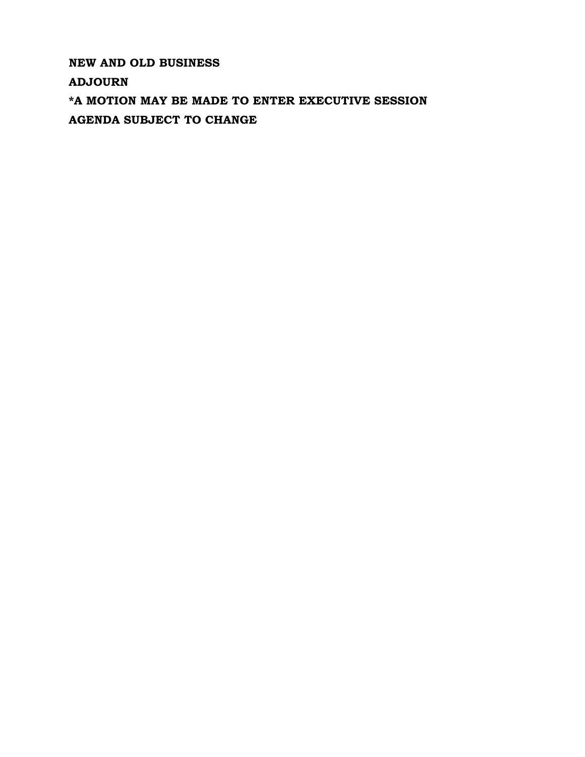**NEW AND OLD BUSINESS ADJOURN \*A MOTION MAY BE MADE TO ENTER EXECUTIVE SESSION AGENDA SUBJECT TO CHANGE**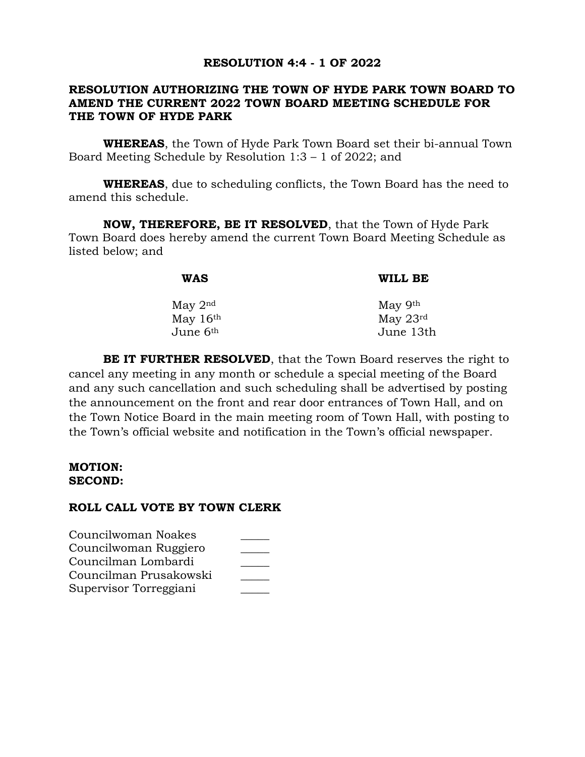## **RESOLUTION 4:4 - 1 OF 2022**

## **RESOLUTION AUTHORIZING THE TOWN OF HYDE PARK TOWN BOARD TO AMEND THE CURRENT 2022 TOWN BOARD MEETING SCHEDULE FOR THE TOWN OF HYDE PARK**

**WHEREAS**, the Town of Hyde Park Town Board set their bi-annual Town Board Meeting Schedule by Resolution 1:3 – 1 of 2022; and

**WHEREAS**, due to scheduling conflicts, the Town Board has the need to amend this schedule.

**NOW, THEREFORE, BE IT RESOLVED**, that the Town of Hyde Park Town Board does hereby amend the current Town Board Meeting Schedule as listed below; and

| WAS                  | WILL BE              |
|----------------------|----------------------|
| May $2nd$            | May 9th              |
| May $16th$           | May $23^{\text{rd}}$ |
| June 6 <sup>th</sup> | June 13th            |

**BE IT FURTHER RESOLVED**, that the Town Board reserves the right to cancel any meeting in any month or schedule a special meeting of the Board and any such cancellation and such scheduling shall be advertised by posting the announcement on the front and rear door entrances of Town Hall, and on the Town Notice Board in the main meeting room of Town Hall, with posting to the Town's official website and notification in the Town's official newspaper.

#### **MOTION: SECOND:**

| Councilwoman Noakes    |  |
|------------------------|--|
| Councilwoman Ruggiero  |  |
| Councilman Lombardi    |  |
| Councilman Prusakowski |  |
| Supervisor Torreggiani |  |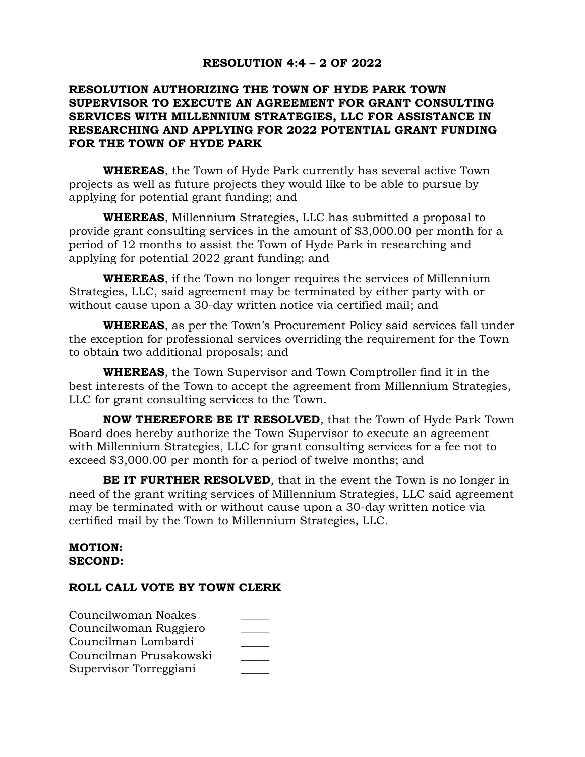# **RESOLUTION 4:4 – 2 OF 2022**

# **RESOLUTION AUTHORIZING THE TOWN OF HYDE PARK TOWN SUPERVISOR TO EXECUTE AN AGREEMENT FOR GRANT CONSULTING SERVICES WITH MILLENNIUM STRATEGIES, LLC FOR ASSISTANCE IN RESEARCHING AND APPLYING FOR 2022 POTENTIAL GRANT FUNDING FOR THE TOWN OF HYDE PARK**

**WHEREAS**, the Town of Hyde Park currently has several active Town projects as well as future projects they would like to be able to pursue by applying for potential grant funding; and

**WHEREAS**, Millennium Strategies, LLC has submitted a proposal to provide grant consulting services in the amount of \$3,000.00 per month for a period of 12 months to assist the Town of Hyde Park in researching and applying for potential 2022 grant funding; and

**WHEREAS**, if the Town no longer requires the services of Millennium Strategies, LLC, said agreement may be terminated by either party with or without cause upon a 30-day written notice via certified mail; and

**WHEREAS**, as per the Town's Procurement Policy said services fall under the exception for professional services overriding the requirement for the Town to obtain two additional proposals; and

**WHEREAS**, the Town Supervisor and Town Comptroller find it in the best interests of the Town to accept the agreement from Millennium Strategies, LLC for grant consulting services to the Town.

**NOW THEREFORE BE IT RESOLVED**, that the Town of Hyde Park Town Board does hereby authorize the Town Supervisor to execute an agreement with Millennium Strategies, LLC for grant consulting services for a fee not to exceed \$3,000.00 per month for a period of twelve months; and

**BE IT FURTHER RESOLVED**, that in the event the Town is no longer in need of the grant writing services of Millennium Strategies, LLC said agreement may be terminated with or without cause upon a 30-day written notice via certified mail by the Town to Millennium Strategies, LLC.

### **MOTION: SECOND:**

| Councilwoman Noakes    |  |
|------------------------|--|
| Councilwoman Ruggiero  |  |
| Councilman Lombardi    |  |
| Councilman Prusakowski |  |
| Supervisor Torreggiani |  |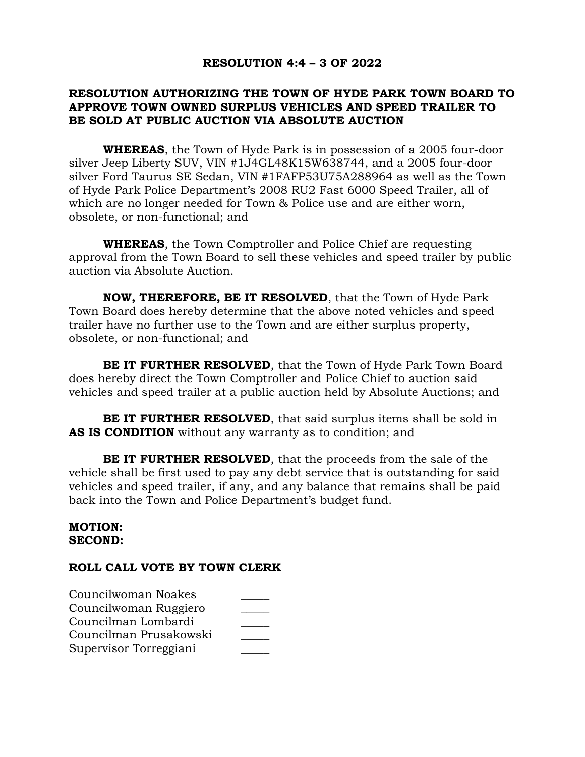## **RESOLUTION 4:4 – 3 OF 2022**

# **RESOLUTION AUTHORIZING THE TOWN OF HYDE PARK TOWN BOARD TO APPROVE TOWN OWNED SURPLUS VEHICLES AND SPEED TRAILER TO BE SOLD AT PUBLIC AUCTION VIA ABSOLUTE AUCTION**

**WHEREAS**, the Town of Hyde Park is in possession of a 2005 four-door silver Jeep Liberty SUV, VIN #1J4GL48K15W638744, and a 2005 four-door silver Ford Taurus SE Sedan, VIN #1FAFP53U75A288964 as well as the Town of Hyde Park Police Department's 2008 RU2 Fast 6000 Speed Trailer, all of which are no longer needed for Town & Police use and are either worn, obsolete, or non-functional; and

**WHEREAS**, the Town Comptroller and Police Chief are requesting approval from the Town Board to sell these vehicles and speed trailer by public auction via Absolute Auction.

**NOW, THEREFORE, BE IT RESOLVED**, that the Town of Hyde Park Town Board does hereby determine that the above noted vehicles and speed trailer have no further use to the Town and are either surplus property, obsolete, or non-functional; and

**BE IT FURTHER RESOLVED**, that the Town of Hyde Park Town Board does hereby direct the Town Comptroller and Police Chief to auction said vehicles and speed trailer at a public auction held by Absolute Auctions; and

**BE IT FURTHER RESOLVED**, that said surplus items shall be sold in **AS IS CONDITION** without any warranty as to condition; and

**BE IT FURTHER RESOLVED**, that the proceeds from the sale of the vehicle shall be first used to pay any debt service that is outstanding for said vehicles and speed trailer, if any, and any balance that remains shall be paid back into the Town and Police Department's budget fund.

#### **MOTION: SECOND:**

| Councilwoman Noakes    |  |
|------------------------|--|
| Councilwoman Ruggiero  |  |
| Councilman Lombardi    |  |
| Councilman Prusakowski |  |
| Supervisor Torreggiani |  |
|                        |  |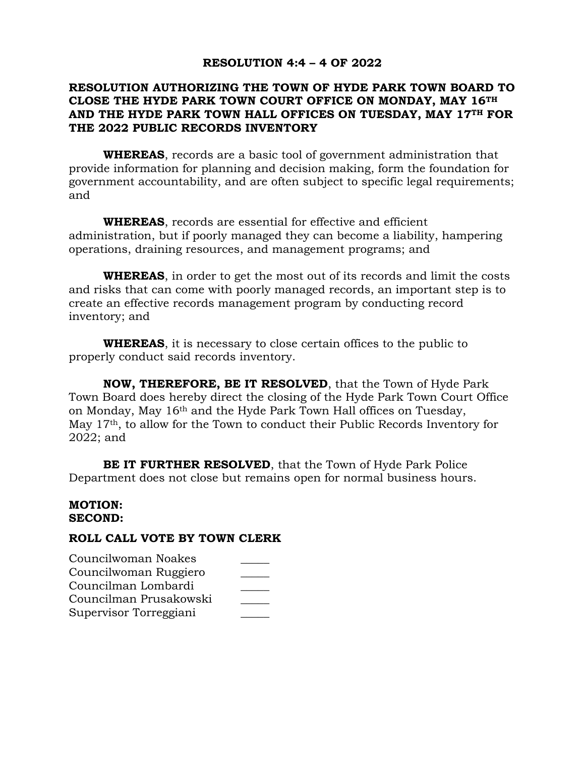## **RESOLUTION 4:4 – 4 OF 2022**

# **RESOLUTION AUTHORIZING THE TOWN OF HYDE PARK TOWN BOARD TO CLOSE THE HYDE PARK TOWN COURT OFFICE ON MONDAY, MAY 16TH AND THE HYDE PARK TOWN HALL OFFICES ON TUESDAY, MAY 17TH FOR THE 2022 PUBLIC RECORDS INVENTORY**

**WHEREAS**, records are a basic tool of government administration that provide information for planning and decision making, form the foundation for government accountability, and are often subject to specific legal requirements; and

**WHEREAS**, records are essential for effective and efficient administration, but if poorly managed they can become a liability, hampering operations, draining resources, and management programs; and

**WHEREAS**, in order to get the most out of its records and limit the costs and risks that can come with poorly managed records, an important step is to create an effective records management program by conducting record inventory; and

**WHEREAS**, it is necessary to close certain offices to the public to properly conduct said records inventory.

**NOW, THEREFORE, BE IT RESOLVED**, that the Town of Hyde Park Town Board does hereby direct the closing of the Hyde Park Town Court Office on Monday, May 16th and the Hyde Park Town Hall offices on Tuesday, May 17th, to allow for the Town to conduct their Public Records Inventory for 2022; and

**BE IT FURTHER RESOLVED**, that the Town of Hyde Park Police Department does not close but remains open for normal business hours.

#### **MOTION: SECOND:**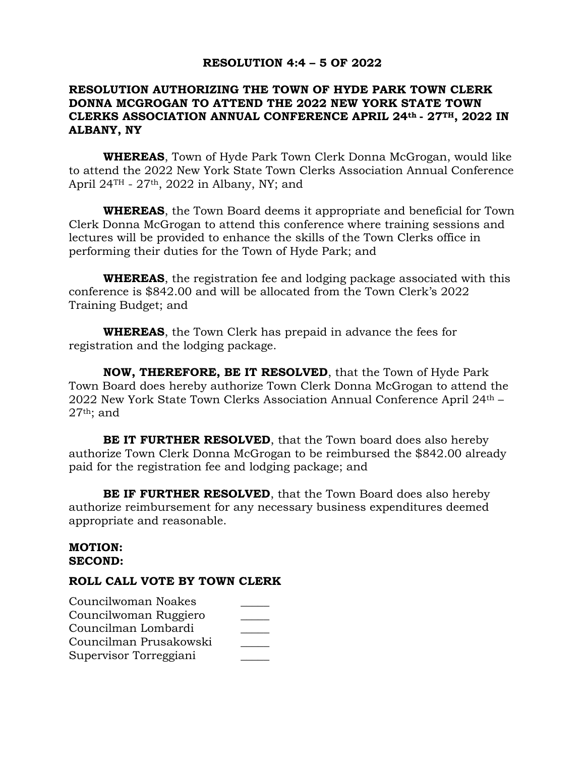### **RESOLUTION 4:4 – 5 OF 2022**

# **RESOLUTION AUTHORIZING THE TOWN OF HYDE PARK TOWN CLERK DONNA MCGROGAN TO ATTEND THE 2022 NEW YORK STATE TOWN CLERKS ASSOCIATION ANNUAL CONFERENCE APRIL 24th - 27TH, 2022 IN ALBANY, NY**

**WHEREAS**, Town of Hyde Park Town Clerk Donna McGrogan, would like to attend the 2022 New York State Town Clerks Association Annual Conference April  $24$ <sup>TH</sup> -  $27$ <sup>th</sup>,  $2022$  in Albany, NY; and

**WHEREAS**, the Town Board deems it appropriate and beneficial for Town Clerk Donna McGrogan to attend this conference where training sessions and lectures will be provided to enhance the skills of the Town Clerks office in performing their duties for the Town of Hyde Park; and

**WHEREAS**, the registration fee and lodging package associated with this conference is \$842.00 and will be allocated from the Town Clerk's 2022 Training Budget; and

**WHEREAS**, the Town Clerk has prepaid in advance the fees for registration and the lodging package.

**NOW, THEREFORE, BE IT RESOLVED**, that the Town of Hyde Park Town Board does hereby authorize Town Clerk Donna McGrogan to attend the 2022 New York State Town Clerks Association Annual Conference April 24th –  $27<sup>th</sup>$ ; and

**BE IT FURTHER RESOLVED**, that the Town board does also hereby authorize Town Clerk Donna McGrogan to be reimbursed the \$842.00 already paid for the registration fee and lodging package; and

**BE IF FURTHER RESOLVED**, that the Town Board does also hereby authorize reimbursement for any necessary business expenditures deemed appropriate and reasonable.

#### **MOTION: SECOND:**

| Councilwoman Noakes    |  |
|------------------------|--|
| Councilwoman Ruggiero  |  |
| Councilman Lombardi    |  |
| Councilman Prusakowski |  |
| Supervisor Torreggiani |  |
|                        |  |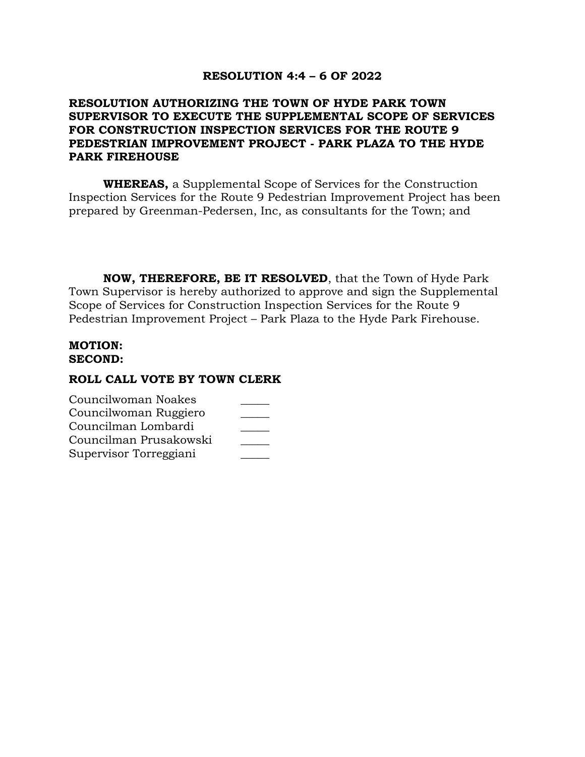### **RESOLUTION 4:4 – 6 OF 2022**

# **RESOLUTION AUTHORIZING THE TOWN OF HYDE PARK TOWN SUPERVISOR TO EXECUTE THE SUPPLEMENTAL SCOPE OF SERVICES FOR CONSTRUCTION INSPECTION SERVICES FOR THE ROUTE 9 PEDESTRIAN IMPROVEMENT PROJECT - PARK PLAZA TO THE HYDE PARK FIREHOUSE**

**WHEREAS,** a Supplemental Scope of Services for the Construction Inspection Services for the Route 9 Pedestrian Improvement Project has been prepared by Greenman-Pedersen, Inc, as consultants for the Town; and

**NOW, THEREFORE, BE IT RESOLVED**, that the Town of Hyde Park Town Supervisor is hereby authorized to approve and sign the Supplemental Scope of Services for Construction Inspection Services for the Route 9 Pedestrian Improvement Project – Park Plaza to the Hyde Park Firehouse.

#### **MOTION: SECOND:**

| Councilwoman Noakes    |  |
|------------------------|--|
| Councilwoman Ruggiero  |  |
| Councilman Lombardi    |  |
| Councilman Prusakowski |  |
| Supervisor Torreggiani |  |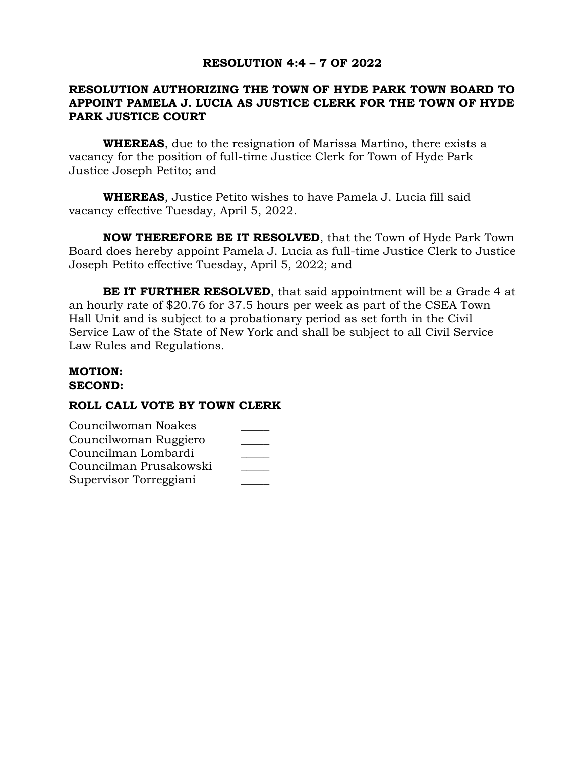# **RESOLUTION 4:4 – 7 OF 2022**

# **RESOLUTION AUTHORIZING THE TOWN OF HYDE PARK TOWN BOARD TO APPOINT PAMELA J. LUCIA AS JUSTICE CLERK FOR THE TOWN OF HYDE PARK JUSTICE COURT**

**WHEREAS**, due to the resignation of Marissa Martino, there exists a vacancy for the position of full-time Justice Clerk for Town of Hyde Park Justice Joseph Petito; and

**WHEREAS**, Justice Petito wishes to have Pamela J. Lucia fill said vacancy effective Tuesday, April 5, 2022.

**NOW THEREFORE BE IT RESOLVED**, that the Town of Hyde Park Town Board does hereby appoint Pamela J. Lucia as full-time Justice Clerk to Justice Joseph Petito effective Tuesday, April 5, 2022; and

**BE IT FURTHER RESOLVED**, that said appointment will be a Grade 4 at an hourly rate of \$20.76 for 37.5 hours per week as part of the CSEA Town Hall Unit and is subject to a probationary period as set forth in the Civil Service Law of the State of New York and shall be subject to all Civil Service Law Rules and Regulations.

#### **MOTION: SECOND:**

| Councilwoman Noakes    |  |
|------------------------|--|
| Councilwoman Ruggiero  |  |
| Councilman Lombardi    |  |
| Councilman Prusakowski |  |
| Supervisor Torreggiani |  |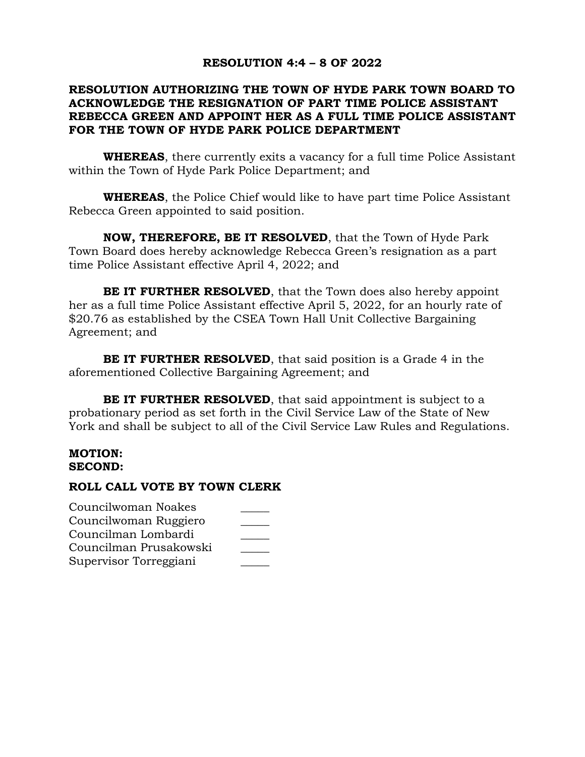## **RESOLUTION 4:4 – 8 OF 2022**

# **RESOLUTION AUTHORIZING THE TOWN OF HYDE PARK TOWN BOARD TO ACKNOWLEDGE THE RESIGNATION OF PART TIME POLICE ASSISTANT REBECCA GREEN AND APPOINT HER AS A FULL TIME POLICE ASSISTANT FOR THE TOWN OF HYDE PARK POLICE DEPARTMENT**

**WHEREAS**, there currently exits a vacancy for a full time Police Assistant within the Town of Hyde Park Police Department; and

**WHEREAS**, the Police Chief would like to have part time Police Assistant Rebecca Green appointed to said position.

**NOW, THEREFORE, BE IT RESOLVED**, that the Town of Hyde Park Town Board does hereby acknowledge Rebecca Green's resignation as a part time Police Assistant effective April 4, 2022; and

**BE IT FURTHER RESOLVED**, that the Town does also hereby appoint her as a full time Police Assistant effective April 5, 2022, for an hourly rate of \$20.76 as established by the CSEA Town Hall Unit Collective Bargaining Agreement; and

**BE IT FURTHER RESOLVED**, that said position is a Grade 4 in the aforementioned Collective Bargaining Agreement; and

**BE IT FURTHER RESOLVED**, that said appointment is subject to a probationary period as set forth in the Civil Service Law of the State of New York and shall be subject to all of the Civil Service Law Rules and Regulations.

## **MOTION: SECOND:**

| Councilwoman Noakes    |  |
|------------------------|--|
| Councilwoman Ruggiero  |  |
| Councilman Lombardi    |  |
| Councilman Prusakowski |  |
| Supervisor Torreggiani |  |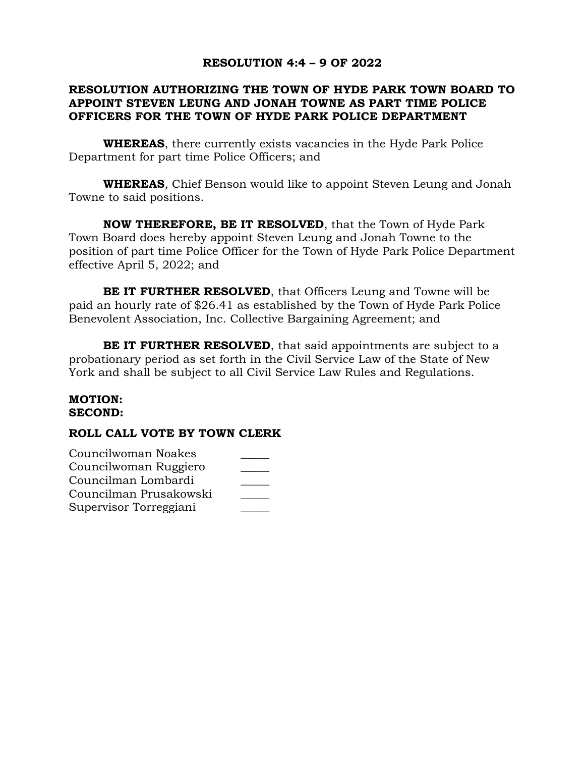# **RESOLUTION 4:4 – 9 OF 2022**

## **RESOLUTION AUTHORIZING THE TOWN OF HYDE PARK TOWN BOARD TO APPOINT STEVEN LEUNG AND JONAH TOWNE AS PART TIME POLICE OFFICERS FOR THE TOWN OF HYDE PARK POLICE DEPARTMENT**

**WHEREAS**, there currently exists vacancies in the Hyde Park Police Department for part time Police Officers; and

**WHEREAS**, Chief Benson would like to appoint Steven Leung and Jonah Towne to said positions.

**NOW THEREFORE, BE IT RESOLVED**, that the Town of Hyde Park Town Board does hereby appoint Steven Leung and Jonah Towne to the position of part time Police Officer for the Town of Hyde Park Police Department effective April 5, 2022; and

**BE IT FURTHER RESOLVED**, that Officers Leung and Towne will be paid an hourly rate of \$26.41 as established by the Town of Hyde Park Police Benevolent Association, Inc. Collective Bargaining Agreement; and

**BE IT FURTHER RESOLVED**, that said appointments are subject to a probationary period as set forth in the Civil Service Law of the State of New York and shall be subject to all Civil Service Law Rules and Regulations.

#### **MOTION: SECOND:**

| Councilwoman Noakes    |  |
|------------------------|--|
| Councilwoman Ruggiero  |  |
| Councilman Lombardi    |  |
| Councilman Prusakowski |  |
| Supervisor Torreggiani |  |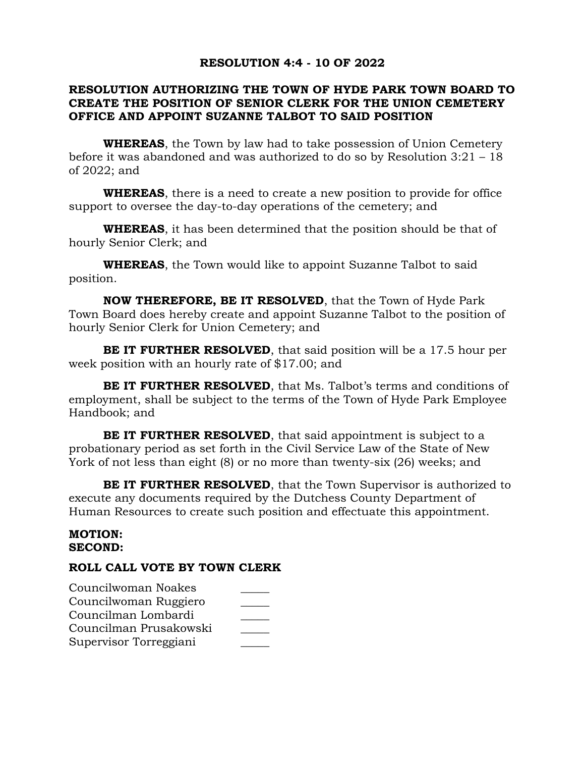## **RESOLUTION 4:4 - 10 OF 2022**

# **RESOLUTION AUTHORIZING THE TOWN OF HYDE PARK TOWN BOARD TO CREATE THE POSITION OF SENIOR CLERK FOR THE UNION CEMETERY OFFICE AND APPOINT SUZANNE TALBOT TO SAID POSITION**

**WHEREAS**, the Town by law had to take possession of Union Cemetery before it was abandoned and was authorized to do so by Resolution 3:21 – 18 of 2022; and

**WHEREAS**, there is a need to create a new position to provide for office support to oversee the day-to-day operations of the cemetery; and

**WHEREAS**, it has been determined that the position should be that of hourly Senior Clerk; and

**WHEREAS**, the Town would like to appoint Suzanne Talbot to said position.

**NOW THEREFORE, BE IT RESOLVED**, that the Town of Hyde Park Town Board does hereby create and appoint Suzanne Talbot to the position of hourly Senior Clerk for Union Cemetery; and

**BE IT FURTHER RESOLVED**, that said position will be a 17.5 hour per week position with an hourly rate of \$17.00; and

**BE IT FURTHER RESOLVED**, that Ms. Talbot's terms and conditions of employment, shall be subject to the terms of the Town of Hyde Park Employee Handbook; and

**BE IT FURTHER RESOLVED**, that said appointment is subject to a probationary period as set forth in the Civil Service Law of the State of New York of not less than eight (8) or no more than twenty-six (26) weeks; and

**BE IT FURTHER RESOLVED**, that the Town Supervisor is authorized to execute any documents required by the Dutchess County Department of Human Resources to create such position and effectuate this appointment.

#### **MOTION: SECOND:**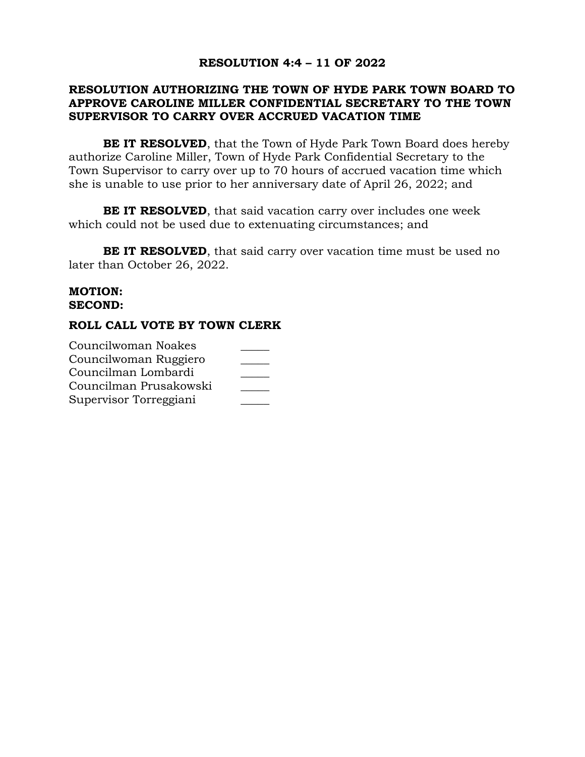# **RESOLUTION 4:4 – 11 OF 2022**

## **RESOLUTION AUTHORIZING THE TOWN OF HYDE PARK TOWN BOARD TO APPROVE CAROLINE MILLER CONFIDENTIAL SECRETARY TO THE TOWN SUPERVISOR TO CARRY OVER ACCRUED VACATION TIME**

**BE IT RESOLVED**, that the Town of Hyde Park Town Board does hereby authorize Caroline Miller, Town of Hyde Park Confidential Secretary to the Town Supervisor to carry over up to 70 hours of accrued vacation time which she is unable to use prior to her anniversary date of April 26, 2022; and

**BE IT RESOLVED**, that said vacation carry over includes one week which could not be used due to extenuating circumstances; and

**BE IT RESOLVED**, that said carry over vacation time must be used no later than October 26, 2022.

### **MOTION: SECOND:**

| Councilwoman Noakes    |  |
|------------------------|--|
| Councilwoman Ruggiero  |  |
| Councilman Lombardi    |  |
| Councilman Prusakowski |  |
| Supervisor Torreggiani |  |
|                        |  |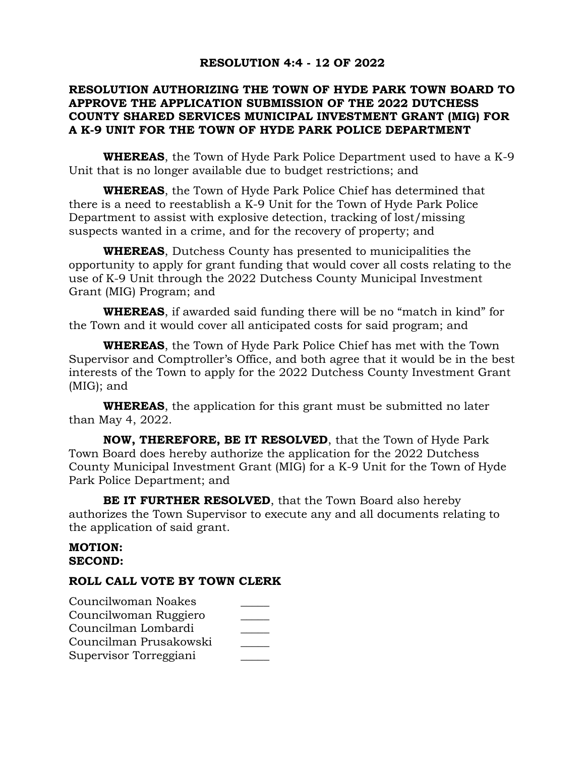## **RESOLUTION 4:4 - 12 OF 2022**

# **RESOLUTION AUTHORIZING THE TOWN OF HYDE PARK TOWN BOARD TO APPROVE THE APPLICATION SUBMISSION OF THE 2022 DUTCHESS COUNTY SHARED SERVICES MUNICIPAL INVESTMENT GRANT (MIG) FOR A K-9 UNIT FOR THE TOWN OF HYDE PARK POLICE DEPARTMENT**

**WHEREAS**, the Town of Hyde Park Police Department used to have a K-9 Unit that is no longer available due to budget restrictions; and

**WHEREAS**, the Town of Hyde Park Police Chief has determined that there is a need to reestablish a K-9 Unit for the Town of Hyde Park Police Department to assist with explosive detection, tracking of lost/missing suspects wanted in a crime, and for the recovery of property; and

**WHEREAS**, Dutchess County has presented to municipalities the opportunity to apply for grant funding that would cover all costs relating to the use of K-9 Unit through the 2022 Dutchess County Municipal Investment Grant (MIG) Program; and

**WHEREAS**, if awarded said funding there will be no "match in kind" for the Town and it would cover all anticipated costs for said program; and

**WHEREAS**, the Town of Hyde Park Police Chief has met with the Town Supervisor and Comptroller's Office, and both agree that it would be in the best interests of the Town to apply for the 2022 Dutchess County Investment Grant (MIG); and

**WHEREAS**, the application for this grant must be submitted no later than May 4, 2022.

**NOW, THEREFORE, BE IT RESOLVED**, that the Town of Hyde Park Town Board does hereby authorize the application for the 2022 Dutchess County Municipal Investment Grant (MIG) for a K-9 Unit for the Town of Hyde Park Police Department; and

**BE IT FURTHER RESOLVED**, that the Town Board also hereby authorizes the Town Supervisor to execute any and all documents relating to the application of said grant.

#### **MOTION: SECOND:**

| Councilwoman Noakes    |  |
|------------------------|--|
| Councilwoman Ruggiero  |  |
| Councilman Lombardi    |  |
| Councilman Prusakowski |  |
| Supervisor Torreggiani |  |
|                        |  |